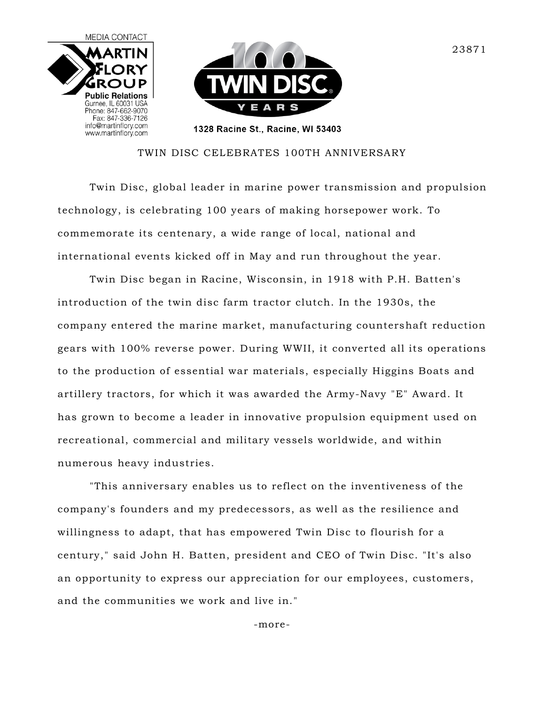

## TWIN DISC CELEBRATES 100TH ANNIVERSARY

Twin Disc, global leader in marine power transmission and propulsion technology, is celebrating 100 years of making horsepower work. To commemorate its centenary, a wide range of local, national and international events kicked off in May and run throughout the year.

Twin Disc began in Racine, Wisconsin, in 1918 with P.H. Batten's introduction of the twin disc farm tractor clutch. In the 1930s, the company entered the marine market, manufacturing countershaft reduction gears with 100% reverse power. During WWII, it converted all its operations to the production of essential war materials, especially Higgins Boats and artillery tractors, for which it was awarded the Army-Navy "E" Award. It has grown to become a leader in innovative propulsion equipment used on recreational, commercial and military vessels worldwide, and within numerous heavy industries.

"This anniversary enables us to reflect on the inventiveness of the company's founders and my predecessors, as well as the resilience and willingness to adapt, that has empowered Twin Disc to flourish for a century," said John H. Batten, president and CEO of Twin Disc. "It's also an opportunity to express our appreciation for our employees, customers, and the communities we work and live in."

-more-